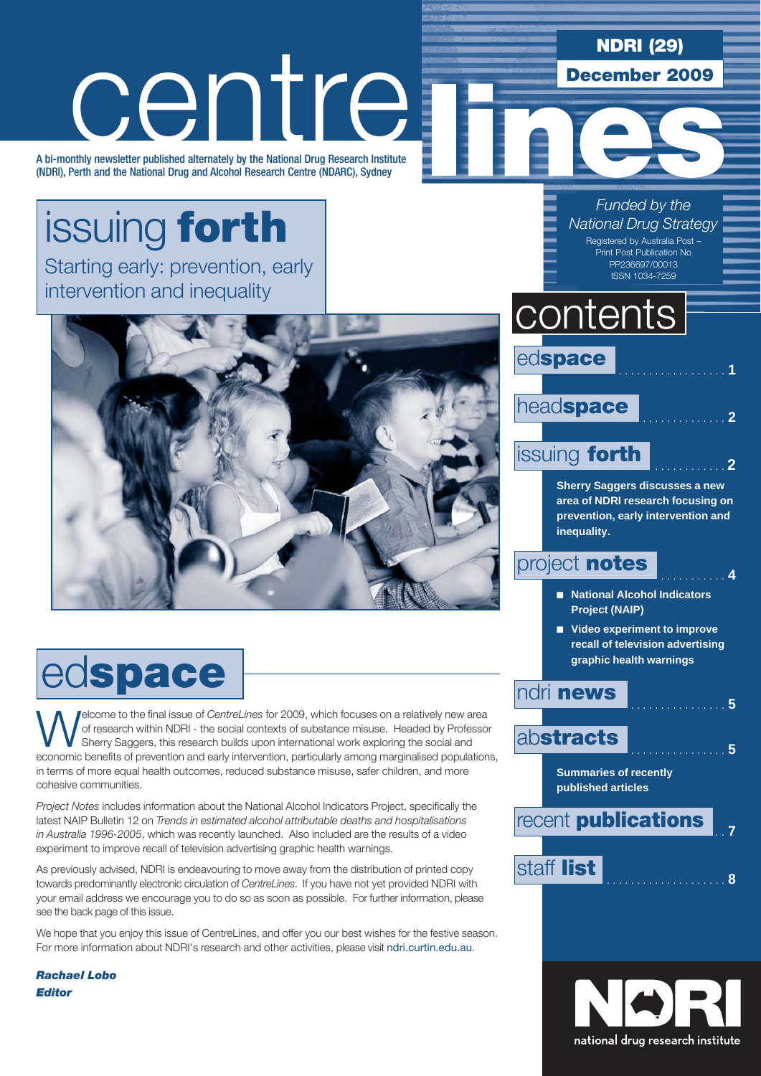### NDRI (29)

December 2009

# centre

A bi-monthly newsletter published alternately by the National Drug Research Institute (NDRI), Perth and the National Drug and Alcohol Research Centre (NDARC), Sydney

# issuing forth

Starting early: prevention, early intervention and inequality



# edspace

**Welcome to the final issue of** *CentreLines* for 2009, which focuses on a relatively new area of research within NDRI - the social contexts of substance misuse. Headed by Professor Sherry Saggers, this research builds upo of research within NDRI - the social contexts of substance misuse. Headed by Professor Sherry Saggers, this research builds upon international work exploring the social and economic benefits of prevention and early intervention, particularly among marginalised populations, in terms of more equal health outcomes, reduced substance misuse, safer children, and more cohesive communities.

*Project Notes* includes information about the National Alcohol Indicators Project, specifically the latest NAIP Bulletin 12 on *Trends in estimated alcohol attributable deaths and hospitalisations in Australia 1996-2005*, which was recently launched. Also included are the results of a video experiment to improve recall of television advertising graphic health warnings.

As previously advised, NDRI is endeavouring to move away from the distribution of printed copy towards predominantly electronic circulation of *CentreLines*. If you have not yet provided NDRI with your email address we encourage you to do so as soon as possible. For further information, please see the back page of this issue.

We hope that you enjoy this issue of CentreLines, and offer you our best wishes for the festive season. For more information about NDRI's research and other activities, please visit ndri.curtin.edu.au.

*Rachael Lobo Editor*

*Funded by the National Drug Strategy*

Registered by Australia Post – Print Post Publication No PP236697/00013 ISSN 1034-7259

# contents



### headspace

### issuing **forth**

**Sherry Saggers discusses a new area of NDRI research focusing on prevention, early intervention and inequality.**

### project **notes**

- **National Alcohol Indicators Project (NAIP)**
- Video experiment to improve **recall of television advertising graphic health warnings**

### ndri news . . **<sup>5</sup>**

abstracts

**Summaries of recently published articles**





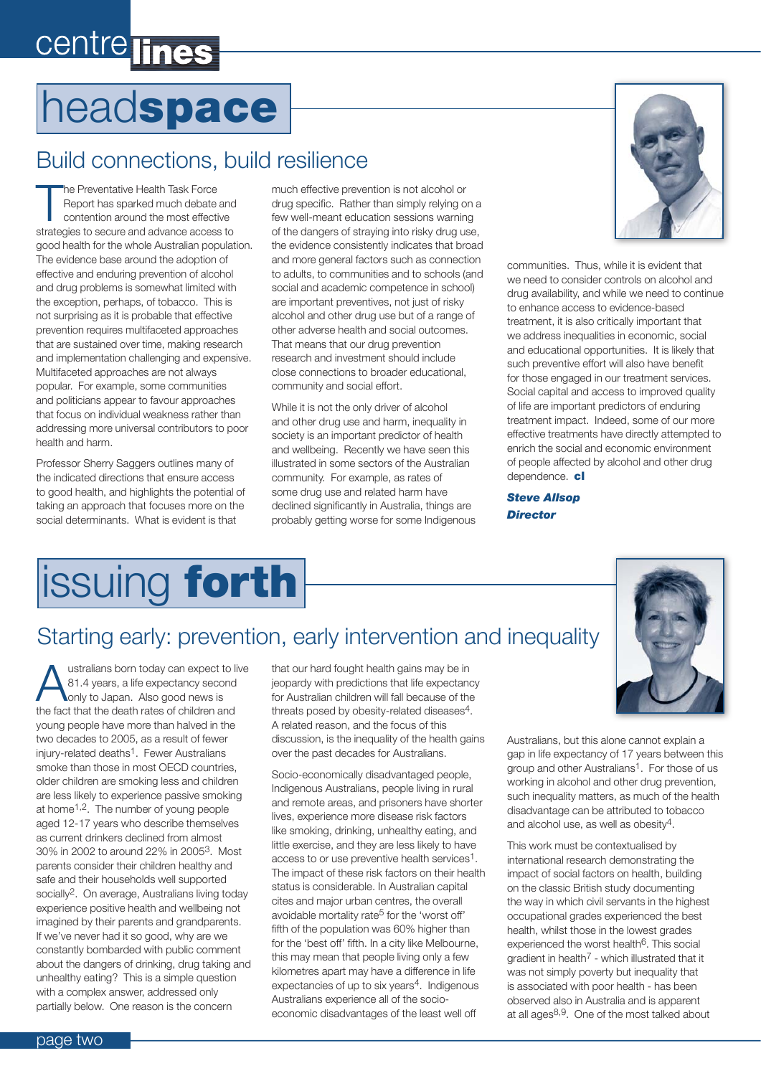# centre lines

# headspace

### Build connections, build resilience

The Preventative Health Task Force<br>
Report has sparked much debate and<br>
contention around the most effective<br>
strategies to secure and advance access to he Preventative Health Task Force Report has sparked much debate and contention around the most effective good health for the whole Australian population. The evidence base around the adoption of effective and enduring prevention of alcohol and drug problems is somewhat limited with the exception, perhaps, of tobacco. This is not surprising as it is probable that effective prevention requires multifaceted approaches that are sustained over time, making research and implementation challenging and expensive. Multifaceted approaches are not always popular. For example, some communities and politicians appear to favour approaches that focus on individual weakness rather than addressing more universal contributors to poor health and harm.

Professor Sherry Saggers outlines many of the indicated directions that ensure access to good health, and highlights the potential of taking an approach that focuses more on the social determinants. What is evident is that

much effective prevention is not alcohol or drug specific. Rather than simply relying on a few well-meant education sessions warning of the dangers of straying into risky drug use, the evidence consistently indicates that broad and more general factors such as connection to adults, to communities and to schools (and social and academic competence in school) are important preventives, not just of risky alcohol and other drug use but of a range of other adverse health and social outcomes. That means that our drug prevention research and investment should include close connections to broader educational, community and social effort.

While it is not the only driver of alcohol and other drug use and harm, inequality in society is an important predictor of health and wellbeing. Recently we have seen this illustrated in some sectors of the Australian community. For example, as rates of some drug use and related harm have declined significantly in Australia, things are probably getting worse for some Indigenous



communities. Thus, while it is evident that we need to consider controls on alcohol and drug availability, and while we need to continue to enhance access to evidence-based treatment, it is also critically important that we address inequalities in economic, social and educational opportunities. It is likely that such preventive effort will also have benefit for those engaged in our treatment services. Social capital and access to improved quality of life are important predictors of enduring treatment impact. Indeed, some of our more effective treatments have directly attempted to enrich the social and economic environment of people affected by alcohol and other drug dependence. cl

*Steve Allsop Director*

# **issuing forth**

### Starting early: prevention, early intervention and inequality

ustralians born today can expect to live 81.4 years, a life expectancy second only to Japan. Also good news is the fact that the death rates of children and young people have more than halved in the two decades to 2005, as a result of fewer injury-related deaths1. Fewer Australians smoke than those in most OECD countries, older children are smoking less and children are less likely to experience passive smoking at home1,2. The number of young people aged 12-17 years who describe themselves as current drinkers declined from almost 30% in 2002 to around 22% in 20053. Most parents consider their children healthy and safe and their households well supported socially2. On average, Australians living today experience positive health and wellbeing not imagined by their parents and grandparents. If we've never had it so good, why are we constantly bombarded with public comment about the dangers of drinking, drug taking and unhealthy eating? This is a simple question with a complex answer, addressed only partially below. One reason is the concern

that our hard fought health gains may be in jeopardy with predictions that life expectancy for Australian children will fall because of the threats posed by obesity-related diseases4. A related reason, and the focus of this discussion, is the inequality of the health gains over the past decades for Australians.

Socio-economically disadvantaged people, Indigenous Australians, people living in rural and remote areas, and prisoners have shorter lives, experience more disease risk factors like smoking, drinking, unhealthy eating, and little exercise, and they are less likely to have access to or use preventive health services1. The impact of these risk factors on their health status is considerable. In Australian capital cites and major urban centres, the overall avoidable mortality rate5 for the 'worst off' fifth of the population was 60% higher than for the 'best off' fifth. In a city like Melbourne, this may mean that people living only a few kilometres apart may have a difference in life expectancies of up to six years<sup>4</sup>. Indigenous Australians experience all of the socioeconomic disadvantages of the least well off



Australians, but this alone cannot explain a gap in life expectancy of 17 years between this group and other Australians1. For those of us working in alcohol and other drug prevention, such inequality matters, as much of the health disadvantage can be attributed to tobacco and alcohol use, as well as obesity4.

This work must be contextualised by international research demonstrating the impact of social factors on health, building on the classic British study documenting the way in which civil servants in the highest occupational grades experienced the best health, whilst those in the lowest grades experienced the worst health<sup>6</sup>. This social gradient in health7 - which illustrated that it was not simply poverty but inequality that is associated with poor health - has been observed also in Australia and is apparent at all ages8,9. One of the most talked about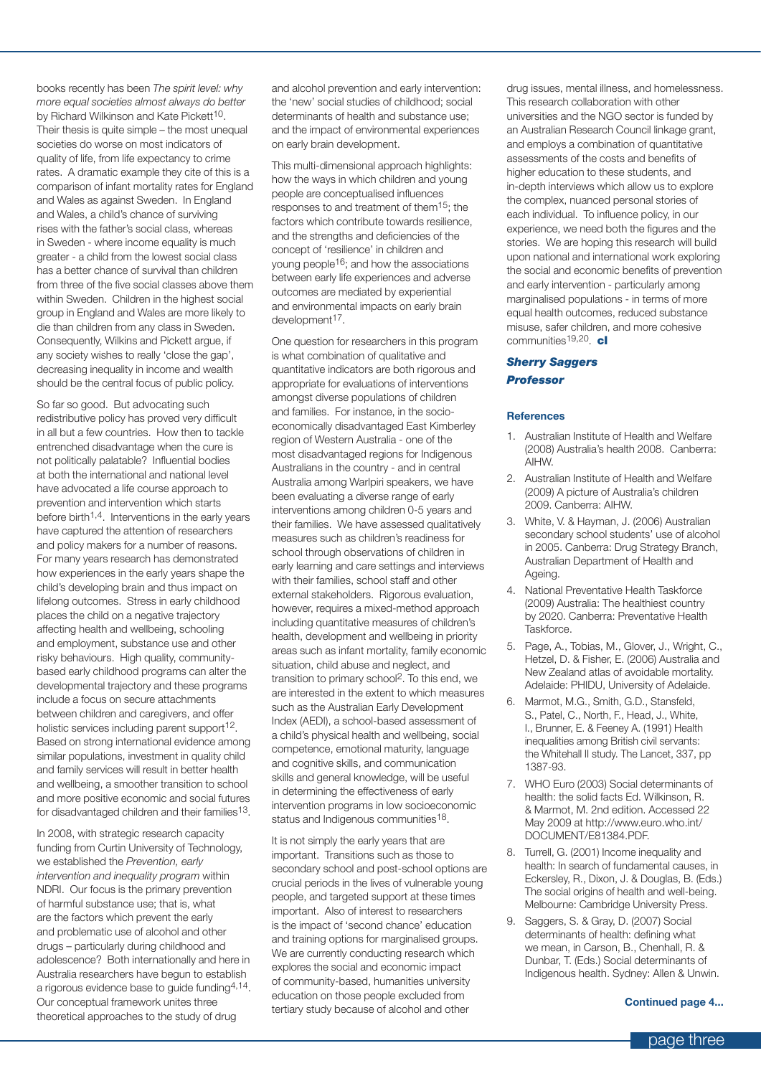books recently has been *The spirit level: why more equal societies almost always do better* by Richard Wilkinson and Kate Pickett<sup>10</sup>. Their thesis is quite simple – the most unequal societies do worse on most indicators of quality of life, from life expectancy to crime rates. A dramatic example they cite of this is a comparison of infant mortality rates for England and Wales as against Sweden. In England and Wales, a child's chance of surviving rises with the father's social class, whereas in Sweden - where income equality is much greater - a child from the lowest social class has a better chance of survival than children from three of the five social classes above them within Sweden. Children in the highest social group in England and Wales are more likely to die than children from any class in Sweden. Consequently, Wilkins and Pickett argue, if any society wishes to really 'close the gap', decreasing inequality in income and wealth should be the central focus of public policy.

So far so good. But advocating such redistributive policy has proved very difficult in all but a few countries. How then to tackle entrenched disadvantage when the cure is not politically palatable? Influential bodies at both the international and national level have advocated a life course approach to prevention and intervention which starts before birth<sup> $1,4$ </sup>. Interventions in the early years have captured the attention of researchers and policy makers for a number of reasons. For many years research has demonstrated how experiences in the early years shape the child's developing brain and thus impact on lifelong outcomes. Stress in early childhood places the child on a negative trajectory affecting health and wellbeing, schooling and employment, substance use and other risky behaviours. High quality, communitybased early childhood programs can alter the developmental trajectory and these programs include a focus on secure attachments between children and caregivers, and offer holistic services including parent support<sup>12</sup>. Based on strong international evidence among similar populations, investment in quality child and family services will result in better health and wellbeing, a smoother transition to school and more positive economic and social futures for disadvantaged children and their families<sup>13</sup>.

In 2008, with strategic research capacity funding from Curtin University of Technology, we established the *Prevention, early intervention and inequality program* within NDRI. Our focus is the primary prevention of harmful substance use; that is, what are the factors which prevent the early and problematic use of alcohol and other drugs – particularly during childhood and adolescence? Both internationally and here in Australia researchers have begun to establish a rigorous evidence base to guide funding4,14. Our conceptual framework unites three theoretical approaches to the study of drug

and alcohol prevention and early intervention: the 'new' social studies of childhood; social determinants of health and substance use; and the impact of environmental experiences on early brain development.

This multi-dimensional approach highlights: how the ways in which children and young people are conceptualised influences responses to and treatment of them15; the factors which contribute towards resilience, and the strengths and deficiencies of the concept of 'resilience' in children and young people16; and how the associations between early life experiences and adverse outcomes are mediated by experiential and environmental impacts on early brain development<sup>17</sup>.

One question for researchers in this program is what combination of qualitative and quantitative indicators are both rigorous and appropriate for evaluations of interventions amongst diverse populations of children and families. For instance, in the socioeconomically disadvantaged East Kimberley region of Western Australia - one of the most disadvantaged regions for Indigenous Australians in the country - and in central Australia among Warlpiri speakers, we have been evaluating a diverse range of early interventions among children 0-5 years and their families. We have assessed qualitatively measures such as children's readiness for school through observations of children in early learning and care settings and interviews with their families, school staff and other external stakeholders. Rigorous evaluation, however, requires a mixed-method approach including quantitative measures of children's health, development and wellbeing in priority areas such as infant mortality, family economic situation, child abuse and neglect, and transition to primary school2. To this end, we are interested in the extent to which measures such as the Australian Early Development Index (AEDI), a school-based assessment of a child's physical health and wellbeing, social competence, emotional maturity, language and cognitive skills, and communication skills and general knowledge, will be useful in determining the effectiveness of early intervention programs in low socioeconomic status and Indigenous communities<sup>18</sup>.

It is not simply the early years that are important. Transitions such as those to secondary school and post-school options are crucial periods in the lives of vulnerable young people, and targeted support at these times important. Also of interest to researchers is the impact of 'second chance' education and training options for marginalised groups. We are currently conducting research which explores the social and economic impact of community-based, humanities university education on those people excluded from tertiary study because of alcohol and other

drug issues, mental illness, and homelessness. This research collaboration with other universities and the NGO sector is funded by an Australian Research Council linkage grant, and employs a combination of quantitative assessments of the costs and benefits of higher education to these students, and in-depth interviews which allow us to explore the complex, nuanced personal stories of each individual. To influence policy, in our experience, we need both the figures and the stories. We are hoping this research will build upon national and international work exploring the social and economic benefits of prevention and early intervention - particularly among marginalised populations - in terms of more equal health outcomes, reduced substance misuse, safer children, and more cohesive communities<sup>19,20</sup>. cl

#### *Sherry Saggers Professor*

#### **References**

- 1. Australian Institute of Health and Welfare (2008) Australia's health 2008. Canberra: AIHW.
- 2. Australian Institute of Health and Welfare (2009) A picture of Australia's children 2009. Canberra: AIHW.
- 3. White, V. & Hayman, J. (2006) Australian secondary school students' use of alcohol in 2005. Canberra: Drug Strategy Branch, Australian Department of Health and Ageing.
- 4. National Preventative Health Taskforce (2009) Australia: The healthiest country by 2020. Canberra: Preventative Health Taskforce.
- 5. Page, A., Tobias, M., Glover, J., Wright, C., Hetzel, D. & Fisher, E. (2006) Australia and New Zealand atlas of avoidable mortality. Adelaide: PHIDU, University of Adelaide.
- 6. Marmot, M.G., Smith, G.D., Stansfeld, S., Patel, C., North, F., Head, J., White, I., Brunner, E. & Feeney A. (1991) Health inequalities among British civil servants: the Whitehall II study. The Lancet, 337, pp 1387-93.
- 7. WHO Euro (2003) Social determinants of health: the solid facts Ed. Wilkinson, R. & Marmot, M. 2nd edition. Accessed 22 May 2009 at http://www.euro.who.int/ DOCUMENT/E81384.PDF.
- 8. Turrell, G. (2001) Income inequality and health: In search of fundamental causes, in Eckersley, R., Dixon, J. & Douglas, B. (Eds.) The social origins of health and well-being. Melbourne: Cambridge University Press.
- 9. Saggers, S. & Gray, D. (2007) Social determinants of health: defining what we mean, in Carson, B., Chenhall, R. & Dunbar, T. (Eds.) Social determinants of Indigenous health. Sydney: Allen & Unwin.

#### **Continued page 4...**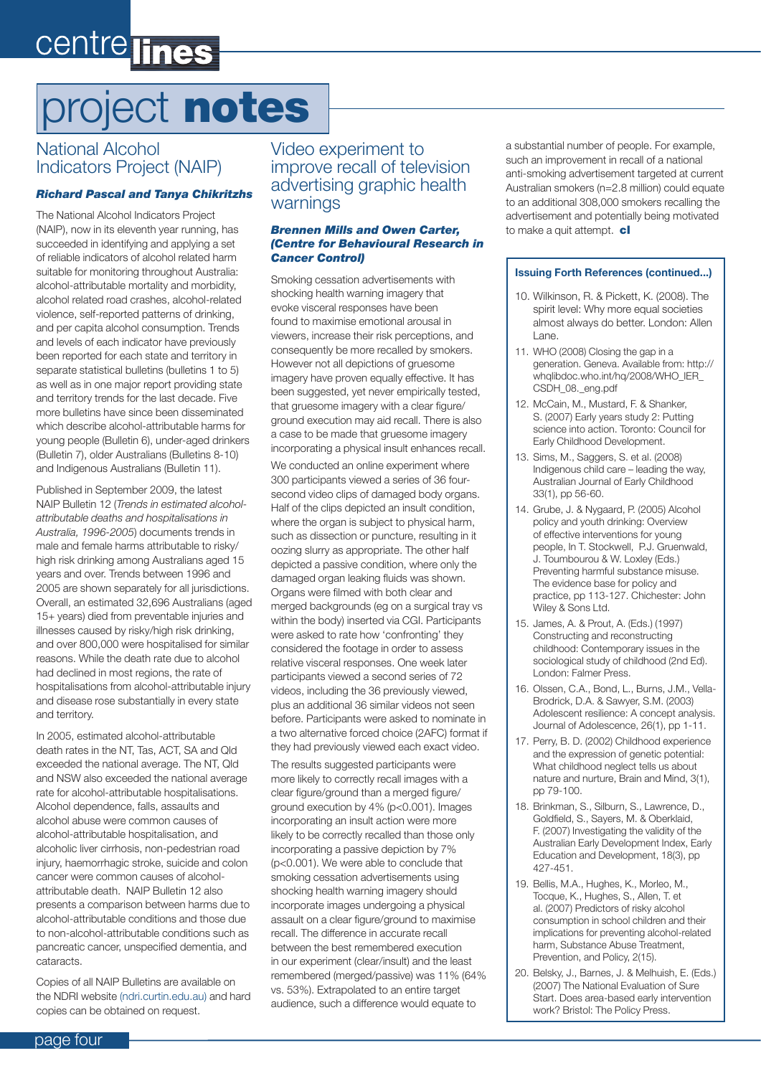# centre lines

# project notes

### National Alcohol Indicators Project (NAIP)

#### *Richard Pascal and Tanya Chikritzhs*

The National Alcohol Indicators Project (NAIP), now in its eleventh year running, has succeeded in identifying and applying a set of reliable indicators of alcohol related harm suitable for monitoring throughout Australia: alcohol-attributable mortality and morbidity, alcohol related road crashes, alcohol-related violence, self-reported patterns of drinking, and per capita alcohol consumption. Trends and levels of each indicator have previously been reported for each state and territory in separate statistical bulletins (bulletins 1 to 5) as well as in one major report providing state and territory trends for the last decade. Five more bulletins have since been disseminated which describe alcohol-attributable harms for young people (Bulletin 6), under-aged drinkers (Bulletin 7), older Australians (Bulletins 8-10) and Indigenous Australians (Bulletin 11).

Published in September 2009, the latest NAIP Bulletin 12 (*Trends in estimated alcoholattributable deaths and hospitalisations in Australia, 1996-2005*) documents trends in male and female harms attributable to risky/ high risk drinking among Australians aged 15 years and over. Trends between 1996 and 2005 are shown separately for all jurisdictions. Overall, an estimated 32,696 Australians (aged 15+ years) died from preventable injuries and illnesses caused by risky/high risk drinking, and over 800,000 were hospitalised for similar reasons. While the death rate due to alcohol had declined in most regions, the rate of hospitalisations from alcohol-attributable injury and disease rose substantially in every state and territory.

In 2005, estimated alcohol-attributable death rates in the NT, Tas, ACT, SA and Qld exceeded the national average. The NT, Qld and NSW also exceeded the national average rate for alcohol-attributable hospitalisations. Alcohol dependence, falls, assaults and alcohol abuse were common causes of alcohol-attributable hospitalisation, and alcoholic liver cirrhosis, non-pedestrian road injury, haemorrhagic stroke, suicide and colon cancer were common causes of alcoholattributable death. NAIP Bulletin 12 also presents a comparison between harms due to alcohol-attributable conditions and those due to non-alcohol-attributable conditions such as pancreatic cancer, unspecified dementia, and cataracts.

Copies of all NAIP Bulletins are available on the NDRI website (ndri.curtin.edu.au) and hard copies can be obtained on request.

Video experiment to improve recall of television advertising graphic health warnings

#### *Brennen Mills and Owen Carter, (Centre for Behavioural Research in Cancer Control)*

Smoking cessation advertisements with shocking health warning imagery that evoke visceral responses have been found to maximise emotional arousal in viewers, increase their risk perceptions, and consequently be more recalled by smokers. However not all depictions of gruesome imagery have proven equally effective. It has been suggested, yet never empirically tested, that gruesome imagery with a clear figure/ ground execution may aid recall. There is also a case to be made that gruesome imagery incorporating a physical insult enhances recall. We conducted an online experiment where 300 participants viewed a series of 36 foursecond video clips of damaged body organs. Half of the clips depicted an insult condition, where the organ is subject to physical harm, such as dissection or puncture, resulting in it oozing slurry as appropriate. The other half depicted a passive condition, where only the damaged organ leaking fluids was shown. Organs were filmed with both clear and merged backgrounds (eg on a surgical tray vs within the body) inserted via CGI. Participants were asked to rate how 'confronting' they considered the footage in order to assess relative visceral responses. One week later participants viewed a second series of 72 videos, including the 36 previously viewed, plus an additional 36 similar videos not seen before. Participants were asked to nominate in a two alternative forced choice (2AFC) format if they had previously viewed each exact video.

The results suggested participants were more likely to correctly recall images with a clear figure/ground than a merged figure/ ground execution by 4% (p<0.001). Images incorporating an insult action were more likely to be correctly recalled than those only incorporating a passive depiction by 7% (p<0.001). We were able to conclude that smoking cessation advertisements using shocking health warning imagery should incorporate images undergoing a physical assault on a clear figure/ground to maximise recall. The difference in accurate recall between the best remembered execution in our experiment (clear/insult) and the least remembered (merged/passive) was 11% (64% vs. 53%). Extrapolated to an entire target audience, such a difference would equate to

a substantial number of people. For example, such an improvement in recall of a national anti-smoking advertisement targeted at current Australian smokers (n=2.8 million) could equate to an additional 308,000 smokers recalling the advertisement and potentially being motivated to make a quit attempt.  $c$ 

#### **Issuing Forth References (continued...)**

- 10. Wilkinson, R. & Pickett, K. (2008). The spirit level: Why more equal societies almost always do better. London: Allen Lane.
- 11. WHO (2008) Closing the gap in a generation. Geneva. Available from: http:// whqlibdoc.who.int/hq/2008/WHO\_IER\_ CSDH\_08.\_eng.pdf
- 12. McCain, M., Mustard, F. & Shanker, S. (2007) Early years study 2: Putting science into action. Toronto: Council for Early Childhood Development.
- 13. Sims, M., Saggers, S. et al. (2008) Indigenous child care – leading the way, Australian Journal of Early Childhood 33(1), pp 56-60.
- 14. Grube, J. & Nygaard, P. (2005) Alcohol policy and youth drinking: Overview of effective interventions for young people, In T. Stockwell, P.J. Gruenwald, J. Toumbourou & W. Loxley (Eds.) Preventing harmful substance misuse. The evidence base for policy and practice, pp 113-127. Chichester: John Wiley & Sons Ltd.
- 15. James, A. & Prout, A. (Eds.) (1997) Constructing and reconstructing childhood: Contemporary issues in the sociological study of childhood (2nd Ed). London: Falmer Press.
- 16. Olssen, C.A., Bond, L., Burns, J.M., Vella-Brodrick, D.A. & Sawyer, S.M. (2003) Adolescent resilience: A concept analysis. Journal of Adolescence, 26(1), pp 1-11.
- 17. Perry, B. D. (2002) Childhood experience and the expression of genetic potential: What childhood neglect tells us about nature and nurture, Brain and Mind, 3(1), pp 79-100.
- 18. Brinkman, S., Silburn, S., Lawrence, D., Goldfield, S., Sayers, M. & Oberklaid, F. (2007) Investigating the validity of the Australian Early Development Index, Early Education and Development, 18(3), pp 427-451.
- 19. Bellis, M.A., Hughes, K., Morleo, M., Tocque, K., Hughes, S., Allen, T. et al. (2007) Predictors of risky alcohol consumption in school children and their implications for preventing alcohol-related harm, Substance Abuse Treatment, Prevention, and Policy, 2(15).
- 20. Belsky, J., Barnes, J. & Melhuish, E. (Eds.) (2007) The National Evaluation of Sure Start. Does area-based early intervention work? Bristol: The Policy Press.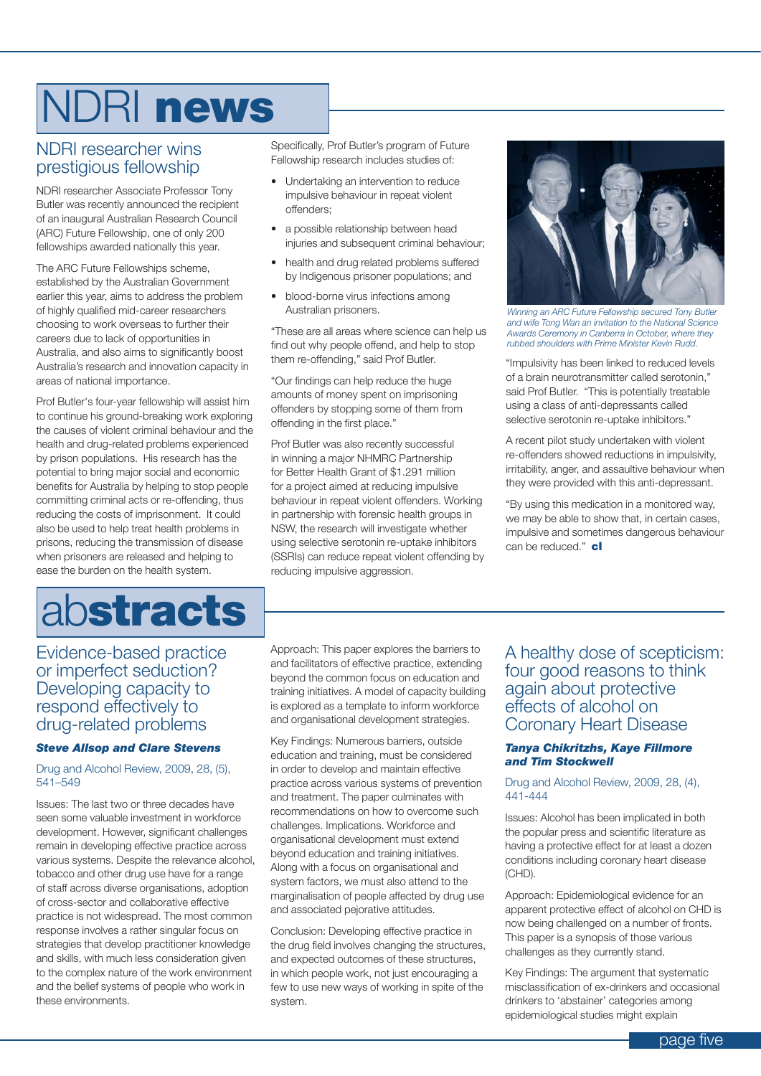# NDRI news

#### NDRI researcher wins prestigious fellowship

NDRI researcher Associate Professor Tony Butler was recently announced the recipient of an inaugural Australian Research Council (ARC) Future Fellowship, one of only 200 fellowships awarded nationally this year.

The ARC Future Fellowships scheme, established by the Australian Government earlier this year, aims to address the problem of highly qualified mid-career researchers choosing to work overseas to further their careers due to lack of opportunities in Australia, and also aims to significantly boost Australia's research and innovation capacity in areas of national importance.

Prof Butler's four-year fellowship will assist him to continue his ground-breaking work exploring the causes of violent criminal behaviour and the health and drug-related problems experienced by prison populations. His research has the potential to bring major social and economic benefits for Australia by helping to stop people committing criminal acts or re-offending, thus reducing the costs of imprisonment. It could also be used to help treat health problems in prisons, reducing the transmission of disease when prisoners are released and helping to ease the burden on the health system.

# abstracts

Evidence-based practice or imperfect seduction? Developing capacity to respond effectively to drug-related problems

#### *Steve Allsop and Clare Stevens*

Drug and Alcohol Review, 2009, 28, (5), 541–549

Issues: The last two or three decades have seen some valuable investment in workforce development. However, significant challenges remain in developing effective practice across various systems. Despite the relevance alcohol, tobacco and other drug use have for a range of staff across diverse organisations, adoption of cross-sector and collaborative effective practice is not widespread. The most common response involves a rather singular focus on strategies that develop practitioner knowledge and skills, with much less consideration given to the complex nature of the work environment and the belief systems of people who work in these environments.

Specifically, Prof Butler's program of Future Fellowship research includes studies of:

- • Undertaking an intervention to reduce impulsive behaviour in repeat violent offenders;
- a possible relationship between head injuries and subsequent criminal behaviour;
- health and drug related problems suffered by Indigenous prisoner populations; and
- • blood-borne virus infections among Australian prisoners.

"These are all areas where science can help us find out why people offend, and help to stop them re-offending," said Prof Butler.

"Our findings can help reduce the huge amounts of money spent on imprisoning offenders by stopping some of them from offending in the first place."

Prof Butler was also recently successful in winning a major NHMRC Partnership for Better Health Grant of \$1.291 million for a project aimed at reducing impulsive behaviour in repeat violent offenders. Working in partnership with forensic health groups in NSW, the research will investigate whether using selective serotonin re-uptake inhibitors (SSRIs) can reduce repeat violent offending by reducing impulsive aggression.



*Winning an ARC Future Fellowship secured Tony Butler and wife Tong Wan an invitation to the National Science Awards Ceremony in Canberra in October, where they rubbed shoulders with Prime Minister Kevin Rudd.*

"Impulsivity has been linked to reduced levels of a brain neurotransmitter called serotonin," said Prof Butler. "This is potentially treatable using a class of anti-depressants called selective serotonin re-uptake inhibitors."

A recent pilot study undertaken with violent re-offenders showed reductions in impulsivity, irritability, anger, and assaultive behaviour when they were provided with this anti-depressant.

"By using this medication in a monitored way, we may be able to show that, in certain cases, impulsive and sometimes dangerous behaviour can be reduced."  $cl$ 

Approach: This paper explores the barriers to and facilitators of effective practice, extending beyond the common focus on education and training initiatives. A model of capacity building is explored as a template to inform workforce and organisational development strategies.

Key Findings: Numerous barriers, outside education and training, must be considered in order to develop and maintain effective practice across various systems of prevention and treatment. The paper culminates with recommendations on how to overcome such challenges. Implications. Workforce and organisational development must extend beyond education and training initiatives. Along with a focus on organisational and system factors, we must also attend to the marginalisation of people affected by drug use and associated pejorative attitudes.

Conclusion: Developing effective practice in the drug field involves changing the structures, and expected outcomes of these structures, in which people work, not just encouraging a few to use new ways of working in spite of the system.

#### A healthy dose of scepticism: four good reasons to think again about protective effects of alcohol on Coronary Heart Disease

#### *Tanya Chikritzhs, Kaye Fillmore and Tim Stockwell*

#### Drug and Alcohol Review, 2009, 28, (4), 441-444

Issues: Alcohol has been implicated in both the popular press and scientific literature as having a protective effect for at least a dozen conditions including coronary heart disease (CHD).

Approach: Epidemiological evidence for an apparent protective effect of alcohol on CHD is now being challenged on a number of fronts. This paper is a synopsis of those various challenges as they currently stand.

Key Findings: The argument that systematic misclassification of ex-drinkers and occasional drinkers to 'abstainer' categories among epidemiological studies might explain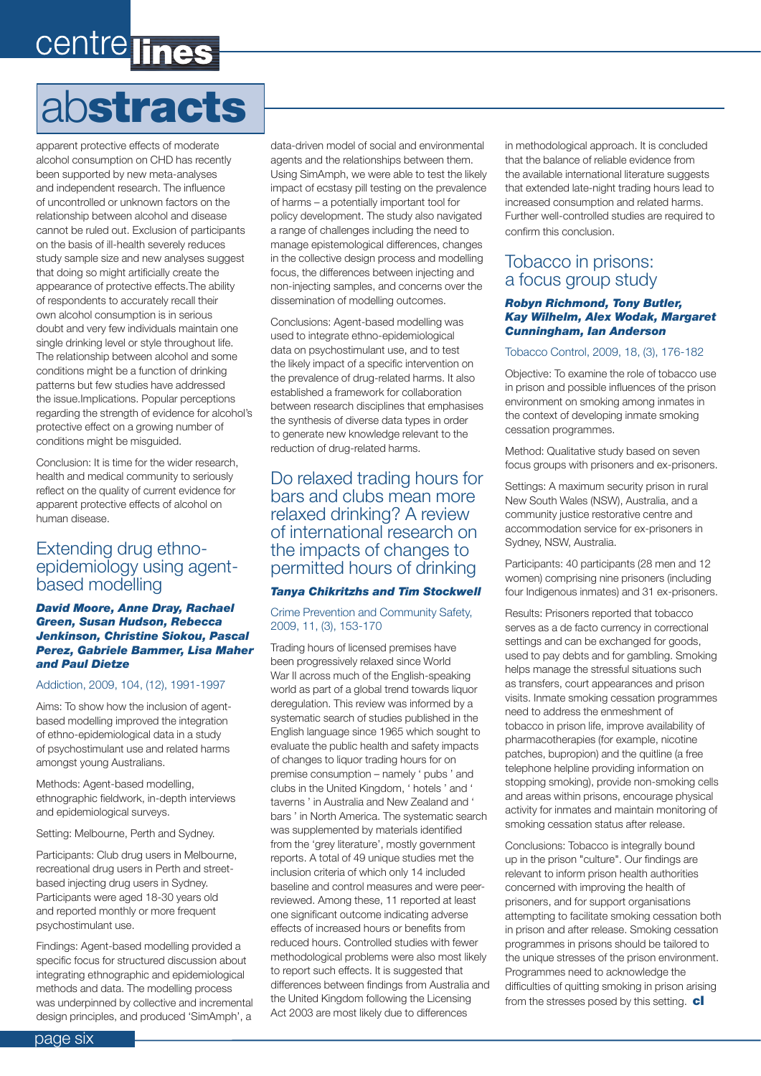# centre ines

# abstracts

apparent protective effects of moderate alcohol consumption on CHD has recently been supported by new meta-analyses and independent research. The influence of uncontrolled or unknown factors on the relationship between alcohol and disease cannot be ruled out. Exclusion of participants on the basis of ill-health severely reduces study sample size and new analyses suggest that doing so might artificially create the appearance of protective effects.The ability of respondents to accurately recall their own alcohol consumption is in serious doubt and very few individuals maintain one single drinking level or style throughout life. The relationship between alcohol and some conditions might be a function of drinking patterns but few studies have addressed the issue.Implications. Popular perceptions regarding the strength of evidence for alcohol's protective effect on a growing number of conditions might be misguided.

Conclusion: It is time for the wider research, health and medical community to seriously reflect on the quality of current evidence for apparent protective effects of alcohol on human disease.

#### Extending drug ethnoepidemiology using agentbased modelling

#### *David Moore, Anne Dray, Rachael Green, Susan Hudson, Rebecca Jenkinson, Christine Siokou, Pascal Perez, Gabriele Bammer, Lisa Maher and Paul Dietze*

#### Addiction, 2009, 104, (12), 1991-1997

Aims: To show how the inclusion of agentbased modelling improved the integration of ethno-epidemiological data in a study of psychostimulant use and related harms amongst young Australians.

Methods: Agent-based modelling, ethnographic fieldwork, in-depth interviews and epidemiological surveys.

Setting: Melbourne, Perth and Sydney.

Participants: Club drug users in Melbourne, recreational drug users in Perth and streetbased injecting drug users in Sydney. Participants were aged 18-30 years old and reported monthly or more frequent psychostimulant use.

Findings: Agent-based modelling provided a specific focus for structured discussion about integrating ethnographic and epidemiological methods and data. The modelling process was underpinned by collective and incremental design principles, and produced 'SimAmph', a data-driven model of social and environmental agents and the relationships between them. Using SimAmph, we were able to test the likely impact of ecstasy pill testing on the prevalence of harms – a potentially important tool for policy development. The study also navigated a range of challenges including the need to manage epistemological differences, changes in the collective design process and modelling focus, the differences between injecting and non-injecting samples, and concerns over the dissemination of modelling outcomes.

Conclusions: Agent-based modelling was used to integrate ethno-epidemiological data on psychostimulant use, and to test the likely impact of a specific intervention on the prevalence of drug-related harms. It also established a framework for collaboration between research disciplines that emphasises the synthesis of diverse data types in order to generate new knowledge relevant to the reduction of drug-related harms.

#### Do relaxed trading hours for bars and clubs mean more relaxed drinking? A review of international research on the impacts of changes to permitted hours of drinking

#### *Tanya Chikritzhs and Tim Stockwell*

Crime Prevention and Community Safety, 2009, 11, (3), 153-170

Trading hours of licensed premises have been progressively relaxed since World War II across much of the English-speaking world as part of a global trend towards liquor deregulation. This review was informed by a systematic search of studies published in the English language since 1965 which sought to evaluate the public health and safety impacts of changes to liquor trading hours for on premise consumption – namely ' pubs ' and clubs in the United Kingdom, ' hotels ' and ' taverns ' in Australia and New Zealand and ' bars ' in North America. The systematic search was supplemented by materials identified from the 'grey literature', mostly government reports. A total of 49 unique studies met the inclusion criteria of which only 14 included baseline and control measures and were peerreviewed. Among these, 11 reported at least one significant outcome indicating adverse effects of increased hours or benefits from reduced hours. Controlled studies with fewer methodological problems were also most likely to report such effects. It is suggested that differences between findings from Australia and the United Kingdom following the Licensing Act 2003 are most likely due to differences

in methodological approach. It is concluded that the balance of reliable evidence from the available international literature suggests that extended late-night trading hours lead to increased consumption and related harms. Further well-controlled studies are required to confirm this conclusion.

#### Tobacco in prisons: a focus group study

#### *Robyn Richmond, Tony Butler, Kay Wilhelm, Alex Wodak, Margaret Cunningham, Ian Anderson*

#### Tobacco Control, 2009, 18, (3), 176-182

Objective: To examine the role of tobacco use in prison and possible influences of the prison environment on smoking among inmates in the context of developing inmate smoking cessation programmes.

Method: Qualitative study based on seven focus groups with prisoners and ex-prisoners.

Settings: A maximum security prison in rural New South Wales (NSW), Australia, and a community justice restorative centre and accommodation service for ex-prisoners in Sydney, NSW, Australia.

Participants: 40 participants (28 men and 12 women) comprising nine prisoners (including four Indigenous inmates) and 31 ex-prisoners.

Results: Prisoners reported that tobacco serves as a de facto currency in correctional settings and can be exchanged for goods, used to pay debts and for gambling. Smoking helps manage the stressful situations such as transfers, court appearances and prison visits. Inmate smoking cessation programmes need to address the enmeshment of tobacco in prison life, improve availability of pharmacotherapies (for example, nicotine patches, bupropion) and the quitline (a free telephone helpline providing information on stopping smoking), provide non-smoking cells and areas within prisons, encourage physical activity for inmates and maintain monitoring of smoking cessation status after release.

Conclusions: Tobacco is integrally bound up in the prison "culture". Our findings are relevant to inform prison health authorities concerned with improving the health of prisoners, and for support organisations attempting to facilitate smoking cessation both in prison and after release. Smoking cessation programmes in prisons should be tailored to the unique stresses of the prison environment. Programmes need to acknowledge the difficulties of quitting smoking in prison arising from the stresses posed by this setting.  $c$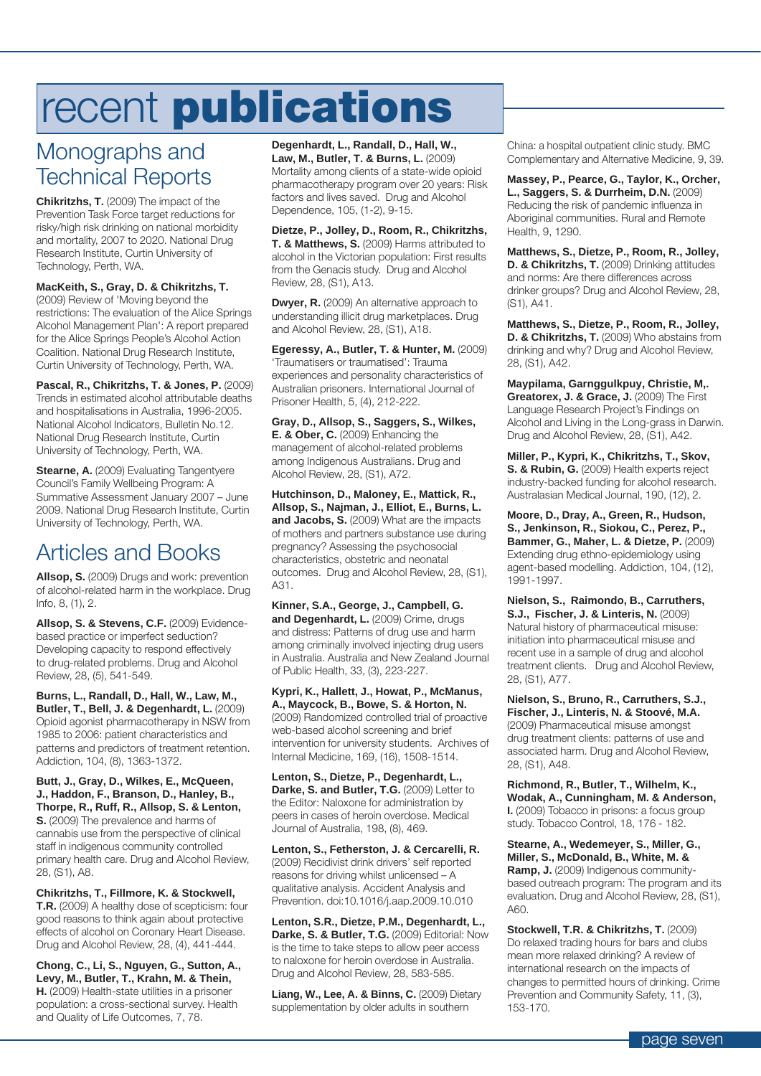# recent publications

### Monographs and Technical Reports

**Chikritzhs, T.** (2009) The impact of the Prevention Task Force target reductions for risky/high risk drinking on national morbidity and mortality, 2007 to 2020. National Drug Research Institute, Curtin University of Technology, Perth, WA.

#### **MacKeith, S., Gray, D. & Chikritzhs, T.**

(2009) Review of 'Moving beyond the restrictions: The evaluation of the Alice Springs Alcohol Management Plan': A report prepared for the Alice Springs People's Alcohol Action Coalition. National Drug Research Institute, Curtin University of Technology, Perth, WA.

**Pascal, R., Chikritzhs, T. & Jones, P.** (2009) Trends in estimated alcohol attributable deaths and hospitalisations in Australia, 1996-2005. National Alcohol Indicators, Bulletin No.12. National Drug Research Institute, Curtin University of Technology, Perth, WA.

**Stearne, A.** (2009) Evaluating Tangentyere Council's Family Wellbeing Program: A Summative Assessment January 2007 – June 2009. National Drug Research Institute, Curtin University of Technology, Perth, WA.

### Articles and Books

**Allsop, S.** (2009) Drugs and work: prevention of alcohol-related harm in the workplace. Drug Info, 8, (1), 2.

**Allsop, S. & Stevens, C.F.** (2009) Evidencebased practice or imperfect seduction? Developing capacity to respond effectively to drug-related problems. Drug and Alcohol Review, 28, (5), 541-549.

**Burns, L., Randall, D., Hall, W., Law, M., Butler, T., Bell, J. & Degenhardt, L.** (2009) Opioid agonist pharmacotherapy in NSW from 1985 to 2006: patient characteristics and patterns and predictors of treatment retention. Addiction, 104, (8), 1363-1372.

**Butt, J., Gray, D., Wilkes, E., McQueen, J., Haddon, F., Branson, D., Hanley, B., Thorpe, R., Ruff, R., Allsop, S. & Lenton, S.** (2009) The prevalence and harms of cannabis use from the perspective of clinical staff in indigenous community controlled primary health care. Drug and Alcohol Review, 28, (S1), A8.

**Chikritzhs, T., Fillmore, K. & Stockwell, T.R.** (2009) A healthy dose of scepticism: four good reasons to think again about protective effects of alcohol on Coronary Heart Disease. Drug and Alcohol Review, 28, (4), 441-444.

**Chong, C., Li, S., Nguyen, G., Sutton, A., Levy, M., Butler, T., Krahn, M. & Thein, H.** (2009) Health-state utilities in a prisoner population: a cross-sectional survey. Health and Quality of Life Outcomes, 7, 78.

**Degenhardt, L., Randall, D., Hall, W., Law, M., Butler, T. & Burns, L.** (2009) Mortality among clients of a state-wide opioid pharmacotherapy program over 20 years: Risk factors and lives saved. Drug and Alcohol Dependence, 105, (1-2), 9-15.

**Dietze, P., Jolley, D., Room, R., Chikritzhs, T. & Matthews, S.** (2009) Harms attributed to alcohol in the Victorian population: First results from the Genacis study. Drug and Alcohol Review, 28, (S1), A13.

**Dwyer, R.** (2009) An alternative approach to understanding illicit drug marketplaces. Drug and Alcohol Review, 28, (S1), A18.

**Egeressy, A., Butler, T. & Hunter, M.** (2009) 'Traumatisers or traumatised': Trauma experiences and personality characteristics of Australian prisoners. International Journal of Prisoner Health, 5, (4), 212-222.

**Gray, D., Allsop, S., Saggers, S., Wilkes, E. & Ober, C.** (2009) Enhancing the management of alcohol-related problems among Indigenous Australians. Drug and Alcohol Review, 28, (S1), A72.

**Hutchinson, D., Maloney, E., Mattick, R., Allsop, S., Najman, J., Elliot, E., Burns, L. and Jacobs, S.** (2009) What are the impacts of mothers and partners substance use during pregnancy? Assessing the psychosocial characteristics, obstetric and neonatal outcomes. Drug and Alcohol Review, 28, (S1), A31.

**Kinner, S.A., George, J., Campbell, G.**  and Degenhardt, L. (2009) Crime, drugs and distress: Patterns of drug use and harm among criminally involved injecting drug users in Australia. Australia and New Zealand Journal of Public Health, 33, (3), 223-227.

**Kypri, K., Hallett, J., Howat, P., McManus, A., Maycock, B., Bowe, S. & Horton, N.**  (2009) Randomized controlled trial of proactive web-based alcohol screening and brief intervention for university students. Archives of Internal Medicine, 169, (16), 1508-1514.

**Lenton, S., Dietze, P., Degenhardt, L., Darke, S. and Butler, T.G.** (2009) Letter to the Editor: Naloxone for administration by peers in cases of heroin overdose. Medical Journal of Australia, 198, (8), 469.

**Lenton, S., Fetherston, J. & Cercarelli, R.** (2009) Recidivist drink drivers' self reported reasons for driving whilst unlicensed – A qualitative analysis. Accident Analysis and Prevention. doi:10.1016/j.aap.2009.10.010

**Lenton, S.R., Dietze, P.M., Degenhardt, L., Darke, S. & Butler, T.G.** (2009) Editorial: Now is the time to take steps to allow peer access to naloxone for heroin overdose in Australia. Drug and Alcohol Review, 28, 583-585.

**Liang, W., Lee, A. & Binns, C.** (2009) Dietary supplementation by older adults in southern

China: a hospital outpatient clinic study. BMC Complementary and Alternative Medicine, 9, 39.

**Massey, P., Pearce, G., Taylor, K., Orcher, L., Saggers, S. & Durrheim, D.N.** (2009) Reducing the risk of pandemic influenza in Aboriginal communities. Rural and Remote Health, 9, 1290.

**Matthews, S., Dietze, P., Room, R., Jolley, D. & Chikritzhs, T.** (2009) Drinking attitudes and norms: Are there differences across drinker groups? Drug and Alcohol Review, 28, (S1), A41.

**Matthews, S., Dietze, P., Room, R., Jolley, D. & Chikritzhs, T.** (2009) Who abstains from drinking and why? Drug and Alcohol Review, 28, (S1), A42.

**Maypilama, Garnggulkpuy, Christie, M,. Greatorex, J. & Grace, J.** (2009) The First Language Research Project's Findings on Alcohol and Living in the Long-grass in Darwin. Drug and Alcohol Review, 28, (S1), A42.

**Miller, P., Kypri, K., Chikritzhs, T., Skov, S. & Rubin, G.** (2009) Health experts reject industry-backed funding for alcohol research. Australasian Medical Journal, 190, (12), 2.

**Moore, D., Dray, A., Green, R., Hudson, S., Jenkinson, R., Siokou, C., Perez, P., Bammer, G., Maher, L. & Dietze, P.** (2009) Extending drug ethno-epidemiology using agent-based modelling. Addiction, 104, (12), 1991-1997.

**Nielson, S., Raimondo, B., Carruthers, S.J., Fischer, J. & Linteris, N.** (2009) Natural history of pharmaceutical misuse: initiation into pharmaceutical misuse and recent use in a sample of drug and alcohol treatment clients. Drug and Alcohol Review, 28, (S1), A77.

**Nielson, S., Bruno, R., Carruthers, S.J., Fischer, J., Linteris, N. & Stoové, M.A.** (2009) Pharmaceutical misuse amongst drug treatment clients: patterns of use and associated harm. Drug and Alcohol Review, 28, (S1), A48.

**Richmond, R., Butler, T., Wilhelm, K., Wodak, A., Cunningham, M. & Anderson, I.** (2009) Tobacco in prisons: a focus group study. Tobacco Control, 18, 176 - 182.

**Stearne, A., Wedemeyer, S., Miller, G., Miller, S., McDonald, B., White, M. & Ramp, J.** (2009) Indigenous communitybased outreach program: The program and its evaluation. Drug and Alcohol Review, 28, (S1), A60.

**Stockwell, T.R. & Chikritzhs, T.** (2009) Do relaxed trading hours for bars and clubs mean more relaxed drinking? A review of international research on the impacts of changes to permitted hours of drinking. Crime Prevention and Community Safety, 11, (3), 153-170.